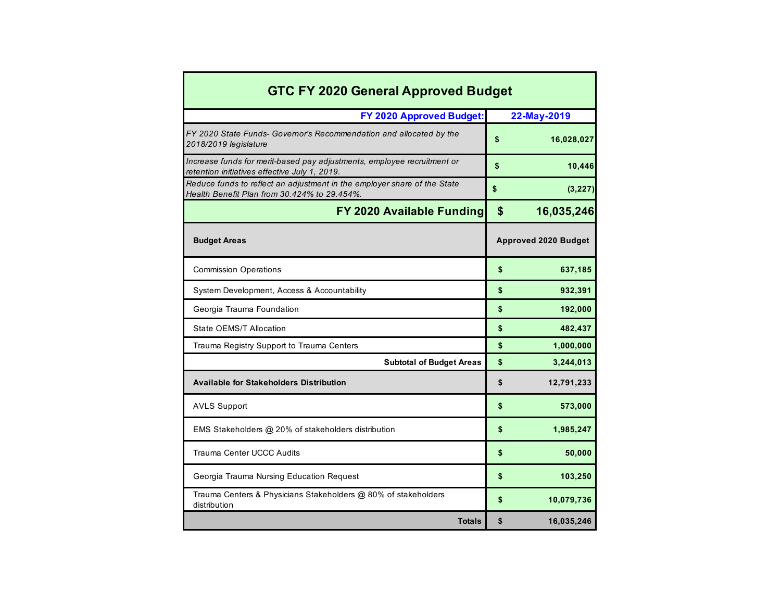| <b>GTC FY 2020 General Approved Budget</b>                                                                               |                             |
|--------------------------------------------------------------------------------------------------------------------------|-----------------------------|
| FY 2020 Approved Budget:                                                                                                 | 22-May-2019                 |
| FY 2020 State Funds- Governor's Recommendation and allocated by the<br>2018/2019 legislature                             | \$<br>16,028,027            |
| Increase funds for merit-based pay adjustments, employee recruitment or<br>retention initiatives effective July 1, 2019. | \$<br>10,446                |
| Reduce funds to reflect an adjustment in the employer share of the State<br>Health Benefit Plan from 30.424% to 29.454%. | \$<br>(3, 227)              |
| FY 2020 Available Funding                                                                                                | \$<br>16,035,246            |
| <b>Budget Areas</b>                                                                                                      | <b>Approved 2020 Budget</b> |
| <b>Commission Operations</b>                                                                                             | \$<br>637,185               |
| System Development, Access & Accountability                                                                              | \$<br>932,391               |
| Georgia Trauma Foundation                                                                                                | \$<br>192,000               |
| State OEMS/T Allocation                                                                                                  | \$<br>482,437               |
| Trauma Registry Support to Trauma Centers                                                                                | \$<br>1,000,000             |
| <b>Subtotal of Budget Areas</b>                                                                                          | \$<br>3,244,013             |
| <b>Available for Stakeholders Distribution</b>                                                                           | \$<br>12,791,233            |
| <b>AVLS Support</b>                                                                                                      | \$<br>573,000               |
| EMS Stakeholders @ 20% of stakeholders distribution                                                                      | \$<br>1,985,247             |
| <b>Trauma Center UCCC Audits</b>                                                                                         | \$<br>50,000                |
| Georgia Trauma Nursing Education Request                                                                                 | \$<br>103,250               |
| Trauma Centers & Physicians Stakeholders @ 80% of stakeholders<br>distribution                                           | \$<br>10,079,736            |
| <b>Totals</b>                                                                                                            | \$<br>16,035,246            |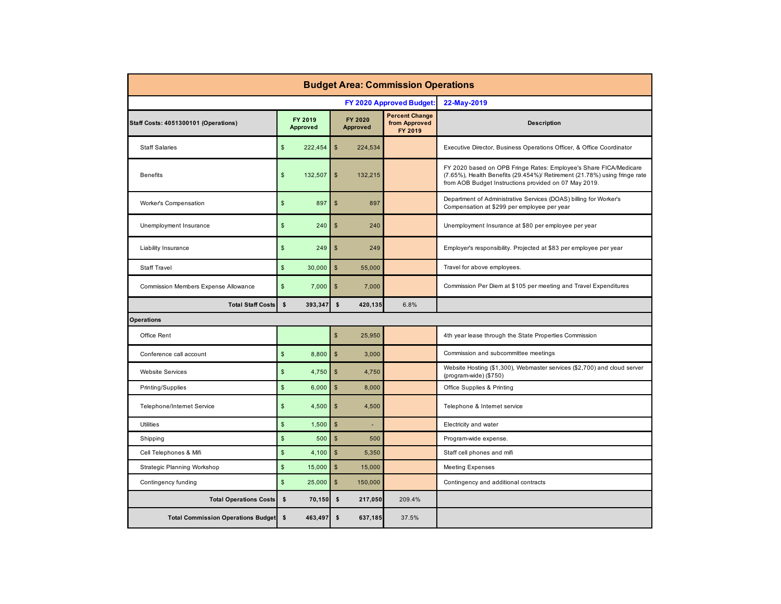| <b>Budget Area: Commission Operations</b> |                                  |                                  |                                                   |                                                                                                                                                                                                         |  |  |  |  |  |  |  |
|-------------------------------------------|----------------------------------|----------------------------------|---------------------------------------------------|---------------------------------------------------------------------------------------------------------------------------------------------------------------------------------------------------------|--|--|--|--|--|--|--|
|                                           |                                  |                                  | FY 2020 Approved Budget:                          | 22-May-2019                                                                                                                                                                                             |  |  |  |  |  |  |  |
| Staff Costs: 4051300101 (Operations)      | FY 2019<br>Approved              | FY 2020<br><b>Approved</b>       | <b>Percent Change</b><br>from Approved<br>FY 2019 | <b>Description</b>                                                                                                                                                                                      |  |  |  |  |  |  |  |
| <b>Staff Salaries</b>                     | $\mathsf{\$}$<br>222,454         | $\mathbb{S}$<br>224,534          |                                                   | Executive Director, Business Operations Officer, & Office Coordinator                                                                                                                                   |  |  |  |  |  |  |  |
| <b>Benefits</b>                           | $\mathsf{\$}$<br>132,507         | \$<br>132,215                    |                                                   | FY 2020 based on OPB Fringe Rates: Employee's Share FICA/Medicare<br>(7.65%), Health Benefits (29.454%)/ Retirement (21.78%) using fringe rate<br>from AOB Budget Instructions provided on 07 May 2019. |  |  |  |  |  |  |  |
| Worker's Compensation                     | $\mathsf{\$}$<br>897             | $\mathfrak{s}$<br>897            |                                                   | Department of Administrative Services (DOAS) billing for Worker's<br>Compensation at \$299 per employee per year                                                                                        |  |  |  |  |  |  |  |
| Unemployment Insurance                    | $\mathfrak s$<br>240             | $\mathbb{S}$<br>240              |                                                   | Unemployment Insurance at \$80 per employee per year                                                                                                                                                    |  |  |  |  |  |  |  |
| Liability Insurance                       | $\mathsf{\$}$<br>249             | $\sqrt[6]{\frac{1}{2}}$<br>249   |                                                   | Employer's responsibility. Projected at \$83 per employee per year                                                                                                                                      |  |  |  |  |  |  |  |
| <b>Staff Travel</b>                       | $\mathsf{\$}$<br>30,000          | $\mathbb{S}$<br>55.000           |                                                   | Travel for above employees.                                                                                                                                                                             |  |  |  |  |  |  |  |
| Commission Members Expense Allowance      | $\sqrt[6]{\frac{1}{2}}$<br>7,000 | $\sqrt{2}$<br>7,000              |                                                   | Commission Per Diem at \$105 per meeting and Travel Expenditures                                                                                                                                        |  |  |  |  |  |  |  |
| <b>Total Staff Costs</b>                  | $\mathbf{s}$<br>393,347          | $\mathsf{s}$<br>420,135          | 6.8%                                              |                                                                                                                                                                                                         |  |  |  |  |  |  |  |
| <b>Operations</b>                         |                                  |                                  |                                                   |                                                                                                                                                                                                         |  |  |  |  |  |  |  |
| Office Rent                               |                                  | $\mathbb{S}$<br>25.950           |                                                   | 4th year lease through the State Properties Commission                                                                                                                                                  |  |  |  |  |  |  |  |
| Conference call account                   | $\mathsf{\$}$<br>8,800           | $\mathbb{S}$<br>3,000            |                                                   | Commission and subcommittee meetings                                                                                                                                                                    |  |  |  |  |  |  |  |
| <b>Website Services</b>                   | $\mathsf{\$}$<br>4,750           | $\sqrt[6]{\frac{1}{2}}$<br>4,750 |                                                   | Website Hosting (\$1,300), Webmaster services (\$2,700) and cloud server<br>(program-wide) (\$750)                                                                                                      |  |  |  |  |  |  |  |
| Printing/Supplies                         | $\mathsf{\$}$<br>6,000           | $\sqrt{2}$<br>8,000              |                                                   | Office Supplies & Printing                                                                                                                                                                              |  |  |  |  |  |  |  |
| Telephone/Internet Service                | $\sqrt{2}$<br>4,500              | $\mathfrak{S}$<br>4,500          |                                                   | Telephone & Internet service                                                                                                                                                                            |  |  |  |  |  |  |  |
| <b>Utilities</b>                          | $\mathbb{S}$<br>1,500            | $\mathbb{S}$                     |                                                   | Electricity and water                                                                                                                                                                                   |  |  |  |  |  |  |  |
| Shipping                                  | $\mathsf{\$}$<br>500             | $\mathfrak{s}$<br>500            |                                                   | Program-wide expense.                                                                                                                                                                                   |  |  |  |  |  |  |  |
| Cell Telephones & Mifi                    | $\sqrt{2}$<br>4,100              | $\sqrt[6]{\frac{1}{2}}$<br>5,350 |                                                   | Staff cell phones and mifi                                                                                                                                                                              |  |  |  |  |  |  |  |
| Strategic Planning Workshop               | $\mathbb{S}$<br>15,000           | $\mathbb{S}$<br>15.000           |                                                   | <b>Meeting Expenses</b>                                                                                                                                                                                 |  |  |  |  |  |  |  |
| Contingency funding                       | $\mathsf{\$}$<br>25,000          | $\mathsf{\$}$<br>150,000         |                                                   | Contingency and additional contracts                                                                                                                                                                    |  |  |  |  |  |  |  |
| <b>Total Operations Costs</b>             | \$<br>70,150                     | \$<br>217,050                    | 209.4%                                            |                                                                                                                                                                                                         |  |  |  |  |  |  |  |
| <b>Total Commission Operations Budget</b> | \$<br>463,497                    | $\mathbf{s}$<br>637,185          | 37.5%                                             |                                                                                                                                                                                                         |  |  |  |  |  |  |  |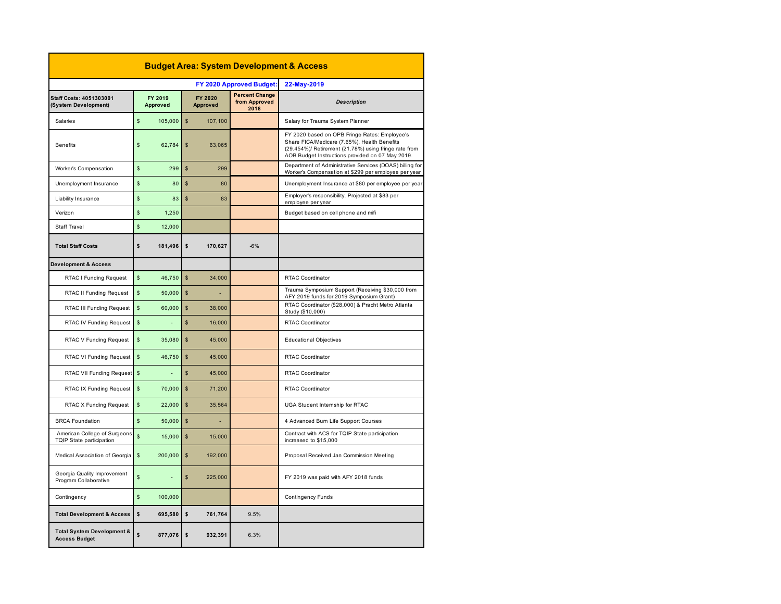| <b>Budget Area: System Development &amp; Access</b>           |                |                     |               |                            |                                                |                                                                                                                                                                                                            |  |  |  |  |
|---------------------------------------------------------------|----------------|---------------------|---------------|----------------------------|------------------------------------------------|------------------------------------------------------------------------------------------------------------------------------------------------------------------------------------------------------------|--|--|--|--|
|                                                               |                |                     |               |                            | FY 2020 Approved Budget:                       | 22-May-2019                                                                                                                                                                                                |  |  |  |  |
| Staff Costs: 4051303001<br>(System Development)               |                | FY 2019<br>Approved |               | FY 2020<br><b>Approved</b> | <b>Percent Change</b><br>from Approved<br>2018 | <b>Description</b>                                                                                                                                                                                         |  |  |  |  |
| Salaries                                                      | \$             | 105,000             | $\mathsf{\$}$ | 107,100                    |                                                | Salary for Trauma System Planner                                                                                                                                                                           |  |  |  |  |
| <b>Benefits</b>                                               | \$             | 62,784              | \$            | 63,065                     |                                                | FY 2020 based on OPB Fringe Rates: Employee's<br>Share FICA/Medicare (7.65%), Health Benefits<br>(29.454%)/ Retirement (21.78%) using fringe rate from<br>AOB Budget Instructions provided on 07 May 2019. |  |  |  |  |
| Worker's Compensation                                         | \$             | 299                 | $\mathsf{s}$  | 299                        |                                                | Department of Administrative Services (DOAS) billing for<br>Worker's Compensation at \$299 per employee per year                                                                                           |  |  |  |  |
| Unemployment Insurance                                        | \$             | 80                  | $\mathsf{\$}$ | 80                         |                                                | Unemployment Insurance at \$80 per employee per year                                                                                                                                                       |  |  |  |  |
| Liability Insurance                                           | \$             | 83                  | $\mathsf{\$}$ | 83                         |                                                | Employer's responsibility. Projected at \$83 per<br>employee per year                                                                                                                                      |  |  |  |  |
| Verizon                                                       | \$             | 1,250               |               |                            |                                                | Budget based on cell phone and mifi                                                                                                                                                                        |  |  |  |  |
| <b>Staff Travel</b>                                           | \$             | 12,000              |               |                            |                                                |                                                                                                                                                                                                            |  |  |  |  |
| <b>Total Staff Costs</b>                                      | \$             | 181,496             | $\mathsf{s}$  | 170,627                    | $-6%$                                          |                                                                                                                                                                                                            |  |  |  |  |
| <b>Development &amp; Access</b>                               |                |                     |               |                            |                                                |                                                                                                                                                                                                            |  |  |  |  |
| RTAC I Funding Request                                        | \$             | 46,750              | $\mathsf{s}$  | 34,000                     |                                                | RTAC Coordinator                                                                                                                                                                                           |  |  |  |  |
| RTAC II Funding Request                                       | \$             | 50,000              | $\mathsf{\$}$ |                            |                                                | Trauma Symposium Support (Receiving \$30,000 from<br>AFY 2019 funds for 2019 Symposium Grant)                                                                                                              |  |  |  |  |
| RTAC III Funding Request                                      | $\mathbb S$    | 60,000              | $\mathsf{\$}$ | 38,000                     |                                                | RTAC Coordinator (\$28,000) & Pracht Metro Atlanta<br>Study (\$10,000)                                                                                                                                     |  |  |  |  |
| RTAC IV Funding Request                                       | $$\mathbb{S}$$ |                     | $\mathsf{s}$  | 16,000                     |                                                | <b>RTAC Coordinator</b>                                                                                                                                                                                    |  |  |  |  |
| RTAC V Funding Request                                        | \$             | 35,080              | $\mathbf{s}$  | 45,000                     |                                                | <b>Educational Objectives</b>                                                                                                                                                                              |  |  |  |  |
| RTAC VI Funding Request                                       | $\mathsf{s}$   | 46.750              | \$            | 45,000                     |                                                | <b>RTAC Coordinator</b>                                                                                                                                                                                    |  |  |  |  |
| RTAC VII Funding Request                                      | $\mathsf{s}$   |                     | $\mathbb{S}$  | 45.000                     |                                                | <b>RTAC Coordinator</b>                                                                                                                                                                                    |  |  |  |  |
| RTAC IX Funding Request                                       | $\mathsf{\$}$  | 70,000              | $\mathsf{\$}$ | 71,200                     |                                                | RTAC Coordinator                                                                                                                                                                                           |  |  |  |  |
| RTAC X Funding Request                                        | \$             | 22,000              | $\mathsf{s}$  | 35.564                     |                                                | UGA Student Internship for RTAC                                                                                                                                                                            |  |  |  |  |
| <b>BRCA Foundation</b>                                        | $\mathsf{s}$   | 50,000              | $\mathsf{s}$  |                            |                                                | 4 Advanced Burn Life Support Courses                                                                                                                                                                       |  |  |  |  |
| American College of Surgeons<br>TQIP State participation      | \$             | 15,000              | $\mathsf{\$}$ | 15,000                     |                                                | Contract with ACS for TQIP State participation<br>increased to \$15,000                                                                                                                                    |  |  |  |  |
| Medical Association of Georgia                                | $\mathsf{\$}$  | 200,000             | $\mathsf{\$}$ | 192,000                    |                                                | Proposal Received Jan Commission Meeting                                                                                                                                                                   |  |  |  |  |
| Georgia Quality Improvement<br>Program Collaborative          | \$             | L,                  | $\mathbb{S}$  | 225,000                    |                                                | FY 2019 was paid with AFY 2018 funds                                                                                                                                                                       |  |  |  |  |
| Contingency                                                   | \$             | 100,000             |               |                            |                                                | <b>Contingency Funds</b>                                                                                                                                                                                   |  |  |  |  |
| <b>Total Development &amp; Access</b>                         | \$             | 695.580             | $\mathsf{s}$  | 761,764                    | 9.5%                                           |                                                                                                                                                                                                            |  |  |  |  |
| <b>Total System Development &amp;</b><br><b>Access Budget</b> | \$             | 877,076             | \$            | 932,391                    | 6.3%                                           |                                                                                                                                                                                                            |  |  |  |  |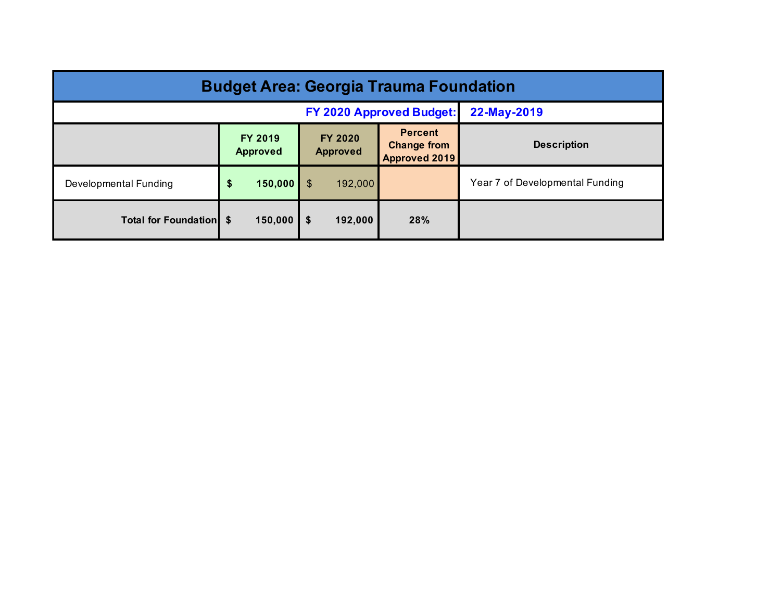| <b>Budget Area: Georgia Trauma Foundation</b> |                                   |                                   |                                                       |                                 |  |  |  |  |  |  |
|-----------------------------------------------|-----------------------------------|-----------------------------------|-------------------------------------------------------|---------------------------------|--|--|--|--|--|--|
|                                               | <b>FY 2020 Approved Budget:</b>   | 22-May-2019                       |                                                       |                                 |  |  |  |  |  |  |
|                                               | <b>FY 2019</b><br><b>Approved</b> | <b>FY 2020</b><br><b>Approved</b> | <b>Percent</b><br><b>Change from</b><br>Approved 2019 | <b>Description</b>              |  |  |  |  |  |  |
| Developmental Funding                         | 150,000<br>\$                     | \$<br>192,000                     |                                                       | Year 7 of Developmental Funding |  |  |  |  |  |  |
| <b>Total for Foundation</b> \$                | 150,000                           | 192,000<br>\$                     | 28%                                                   |                                 |  |  |  |  |  |  |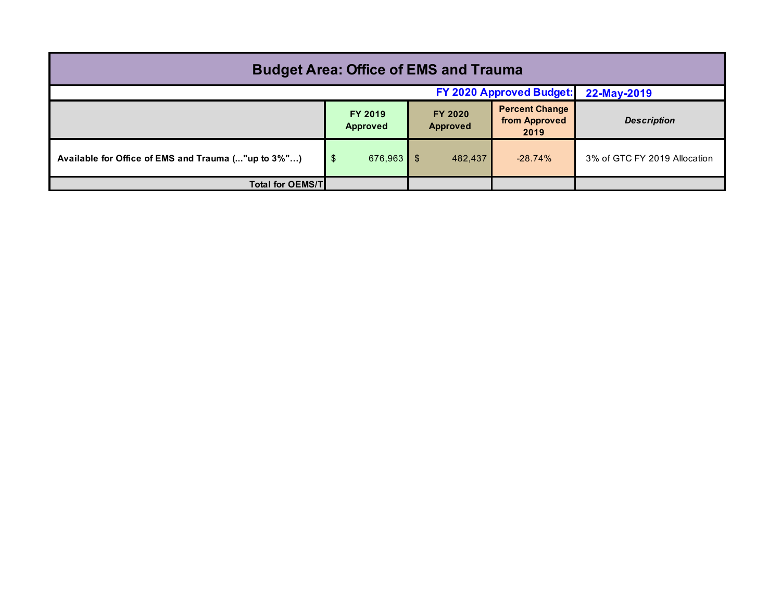| <b>Budget Area: Office of EMS and Trauma</b>        |                      |                            |                                                |                              |  |  |  |  |  |
|-----------------------------------------------------|----------------------|----------------------------|------------------------------------------------|------------------------------|--|--|--|--|--|
| FY 2020 Approved Budget:<br>22-May-2019             |                      |                            |                                                |                              |  |  |  |  |  |
|                                                     | FY 2019<br>Approved  | FY 2020<br><b>Approved</b> | <b>Percent Change</b><br>from Approved<br>2019 | <b>Description</b>           |  |  |  |  |  |
| Available for Office of EMS and Trauma ("up to 3%") | \$<br>$676,963$   \$ | 482,437                    | $-28.74%$                                      | 3% of GTC FY 2019 Allocation |  |  |  |  |  |
| <b>Total for OEMS/T</b>                             |                      |                            |                                                |                              |  |  |  |  |  |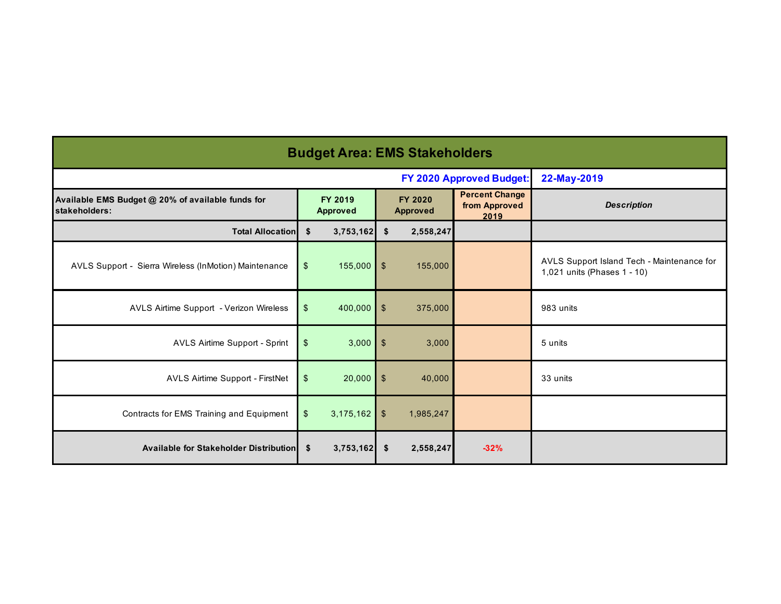| <b>Budget Area: EMS Stakeholders</b>                               |                           |                            |                         |                            |                                                |                                                                           |  |  |  |  |  |
|--------------------------------------------------------------------|---------------------------|----------------------------|-------------------------|----------------------------|------------------------------------------------|---------------------------------------------------------------------------|--|--|--|--|--|
|                                                                    |                           |                            |                         |                            | FY 2020 Approved Budget:                       | 22-May-2019                                                               |  |  |  |  |  |
| Available EMS Budget @ 20% of available funds for<br>stakeholders: |                           | FY 2019<br><b>Approved</b> |                         | FY 2020<br><b>Approved</b> | <b>Percent Change</b><br>from Approved<br>2019 | <b>Description</b>                                                        |  |  |  |  |  |
| <b>Total Allocation</b>                                            | \$                        | 3,753,162                  | \$                      | 2,558,247                  |                                                |                                                                           |  |  |  |  |  |
| AVLS Support - Sierra Wireless (InMotion) Maintenance              | \$                        | 155,000                    | $\mathfrak{F}$          | 155,000                    |                                                | AVLS Support Island Tech - Maintenance for<br>1,021 units (Phases 1 - 10) |  |  |  |  |  |
| AVLS Airtime Support - Verizon Wireless                            | $\boldsymbol{\mathsf{S}}$ | 400,000                    | $\sqrt[6]{\frac{1}{2}}$ | 375,000                    |                                                | 983 units                                                                 |  |  |  |  |  |
| AVLS Airtime Support - Sprint                                      | $\frac{1}{2}$             | 3,000                      | $\sqrt{2}$              | 3,000                      |                                                | 5 units                                                                   |  |  |  |  |  |
| AVLS Airtime Support - FirstNet                                    | \$                        | 20,000                     | $\mathfrak{F}$          | 40,000                     |                                                | 33 units                                                                  |  |  |  |  |  |
| Contracts for EMS Training and Equipment                           | \$                        | 3,175,162                  | $\mathfrak{F}$          | 1,985,247                  |                                                |                                                                           |  |  |  |  |  |
| Available for Stakeholder Distribution                             | \$                        | 3,753,162                  | -S                      | 2,558,247                  | $-32%$                                         |                                                                           |  |  |  |  |  |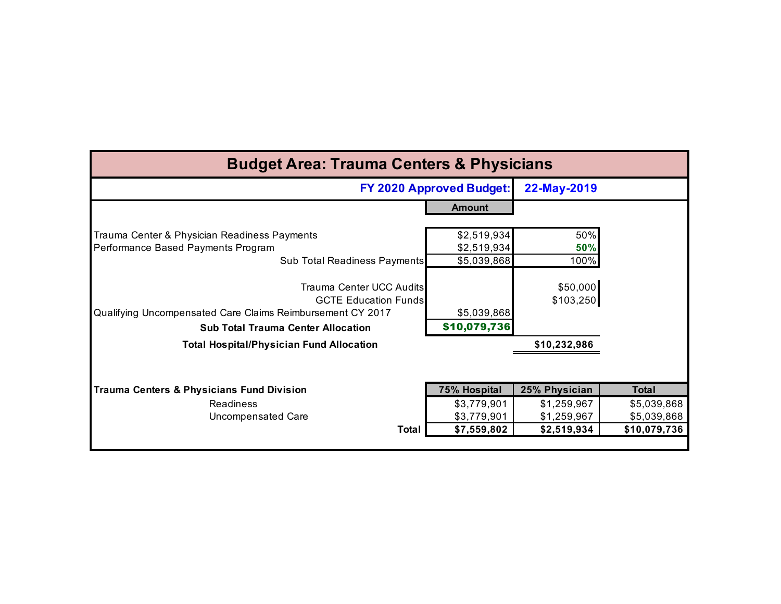| <b>Budget Area: Trauma Centers &amp; Physicians</b>                                                                                                                |                                 |                       |              |  |  |  |  |  |  |  |
|--------------------------------------------------------------------------------------------------------------------------------------------------------------------|---------------------------------|-----------------------|--------------|--|--|--|--|--|--|--|
|                                                                                                                                                                    | <b>FY 2020 Approved Budget:</b> | 22-May-2019           |              |  |  |  |  |  |  |  |
|                                                                                                                                                                    | Amount                          |                       |              |  |  |  |  |  |  |  |
| Trauma Center & Physician Readiness Payments                                                                                                                       | \$2,519,934                     | 50%                   |              |  |  |  |  |  |  |  |
| Performance Based Payments Program                                                                                                                                 | \$2,519,934                     | 50%                   |              |  |  |  |  |  |  |  |
| Sub Total Readiness Payments                                                                                                                                       | \$5,039,868                     | 100%                  |              |  |  |  |  |  |  |  |
| Trauma Center UCC Audits<br><b>GCTE Education Funds</b><br>Qualifying Uncompensated Care Claims Reimbursement CY 2017<br><b>Sub Total Trauma Center Allocation</b> | \$5,039,868<br>\$10,079,736     | \$50,000<br>\$103,250 |              |  |  |  |  |  |  |  |
| <b>Total Hospital/Physician Fund Allocation</b>                                                                                                                    |                                 | \$10,232,986          |              |  |  |  |  |  |  |  |
| <b>Trauma Centers &amp; Physicians Fund Division</b>                                                                                                               | <b>75% Hospital</b>             | 25% Physician         | <b>Total</b> |  |  |  |  |  |  |  |
| <b>Readiness</b>                                                                                                                                                   | \$3,779,901                     | \$1,259,967           | \$5,039,868  |  |  |  |  |  |  |  |
| <b>Uncompensated Care</b>                                                                                                                                          | \$3,779,901                     | \$1,259,967           | \$5,039,868  |  |  |  |  |  |  |  |
| <b>Total</b>                                                                                                                                                       | \$7,559,802                     | \$2,519,934           | \$10,079,736 |  |  |  |  |  |  |  |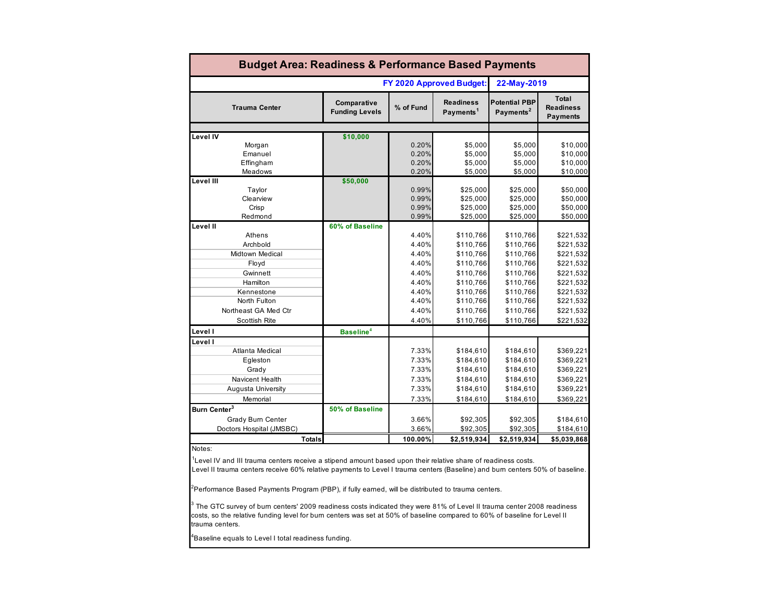| <b>Budget Area: Readiness &amp; Performance Based Payments</b>                                                                                                                                                                              |                                      |           |                                           |                                               |                                                     |  |  |  |  |  |  |
|---------------------------------------------------------------------------------------------------------------------------------------------------------------------------------------------------------------------------------------------|--------------------------------------|-----------|-------------------------------------------|-----------------------------------------------|-----------------------------------------------------|--|--|--|--|--|--|
|                                                                                                                                                                                                                                             |                                      |           | FY 2020 Approved Budget:                  | 22-May-2019                                   |                                                     |  |  |  |  |  |  |
| <b>Trauma Center</b>                                                                                                                                                                                                                        | Comparative<br><b>Funding Levels</b> | % of Fund | <b>Readiness</b><br>Payments <sup>1</sup> | <b>Potential PBP</b><br>Payments <sup>2</sup> | <b>Total</b><br><b>Readiness</b><br><b>Payments</b> |  |  |  |  |  |  |
|                                                                                                                                                                                                                                             |                                      |           |                                           |                                               |                                                     |  |  |  |  |  |  |
| Level IV                                                                                                                                                                                                                                    | \$10,000                             | 0.20%     | \$5,000                                   | \$5,000                                       |                                                     |  |  |  |  |  |  |
| Morgan<br>Emanuel                                                                                                                                                                                                                           |                                      | 0.20%     | \$5,000                                   | \$5,000                                       | \$10,000<br>\$10,000                                |  |  |  |  |  |  |
| Effingham                                                                                                                                                                                                                                   |                                      | 0.20%     | \$5,000                                   | \$5,000                                       | \$10,000                                            |  |  |  |  |  |  |
| Meadows                                                                                                                                                                                                                                     |                                      | 0.20%     | \$5,000                                   | \$5,000                                       | \$10,000                                            |  |  |  |  |  |  |
| Level III                                                                                                                                                                                                                                   | \$50,000                             |           |                                           |                                               |                                                     |  |  |  |  |  |  |
| Taylor                                                                                                                                                                                                                                      |                                      | 0.99%     | \$25,000                                  | \$25,000                                      | \$50,000                                            |  |  |  |  |  |  |
| Clearview                                                                                                                                                                                                                                   |                                      | 0.99%     | \$25,000                                  | \$25,000                                      | \$50,000                                            |  |  |  |  |  |  |
| Crisp                                                                                                                                                                                                                                       |                                      | 0.99%     | \$25,000                                  | \$25,000                                      | \$50,000                                            |  |  |  |  |  |  |
| Redmond                                                                                                                                                                                                                                     |                                      | 0.99%     | \$25,000                                  | \$25,000                                      | \$50,000                                            |  |  |  |  |  |  |
| Level II                                                                                                                                                                                                                                    | 60% of Baseline                      |           |                                           |                                               |                                                     |  |  |  |  |  |  |
| Athens                                                                                                                                                                                                                                      |                                      | 4.40%     | \$110,766                                 | \$110,766                                     | \$221,532                                           |  |  |  |  |  |  |
| Archbold                                                                                                                                                                                                                                    |                                      | 4.40%     | \$110,766                                 | \$110,766                                     | \$221,532                                           |  |  |  |  |  |  |
| Midtown Medical                                                                                                                                                                                                                             |                                      | 4.40%     | \$110,766                                 | \$110,766                                     | \$221,532                                           |  |  |  |  |  |  |
| Floyd                                                                                                                                                                                                                                       |                                      | 4.40%     | \$110,766                                 | \$110,766                                     | \$221,532                                           |  |  |  |  |  |  |
| Gwinnett                                                                                                                                                                                                                                    |                                      | 4.40%     | \$110,766                                 | \$110,766                                     | \$221,532                                           |  |  |  |  |  |  |
| Hamilton                                                                                                                                                                                                                                    |                                      | 4.40%     | \$110,766                                 | \$110,766                                     | \$221,532                                           |  |  |  |  |  |  |
| Kennestone                                                                                                                                                                                                                                  |                                      | 4.40%     | \$110,766                                 | \$110,766                                     | \$221,532                                           |  |  |  |  |  |  |
| North Fulton                                                                                                                                                                                                                                |                                      | 4.40%     | \$110,766                                 | \$110,766                                     | \$221,532                                           |  |  |  |  |  |  |
| Northeast GA Med Ctr                                                                                                                                                                                                                        |                                      | 4.40%     | \$110,766                                 | \$110,766                                     | \$221,532                                           |  |  |  |  |  |  |
| Scottish Rite                                                                                                                                                                                                                               |                                      | 4.40%     | \$110,766                                 | \$110,766                                     | \$221,532                                           |  |  |  |  |  |  |
| Level I                                                                                                                                                                                                                                     | Baseline <sup>4</sup>                |           |                                           |                                               |                                                     |  |  |  |  |  |  |
| Level I                                                                                                                                                                                                                                     |                                      |           |                                           |                                               |                                                     |  |  |  |  |  |  |
| <b>Atlanta Medical</b>                                                                                                                                                                                                                      |                                      | 7.33%     | \$184,610                                 | \$184,610                                     | \$369,221                                           |  |  |  |  |  |  |
| Egleston                                                                                                                                                                                                                                    |                                      | 7.33%     | \$184,610                                 | \$184,610                                     | \$369,221                                           |  |  |  |  |  |  |
| Grady                                                                                                                                                                                                                                       |                                      | 7.33%     | \$184,610                                 | \$184,610                                     | \$369,221                                           |  |  |  |  |  |  |
| Navicent Health                                                                                                                                                                                                                             |                                      | 7.33%     | \$184,610                                 | \$184,610                                     | \$369,221                                           |  |  |  |  |  |  |
| Augusta University                                                                                                                                                                                                                          |                                      | 7.33%     | \$184,610                                 | \$184,610                                     | \$369,221                                           |  |  |  |  |  |  |
| Memorial                                                                                                                                                                                                                                    |                                      | 7.33%     | \$184,610                                 | \$184,610                                     | \$369,221                                           |  |  |  |  |  |  |
| Burn Center <sup>3</sup>                                                                                                                                                                                                                    | 50% of Baseline                      |           |                                           |                                               |                                                     |  |  |  |  |  |  |
| Grady Burn Center                                                                                                                                                                                                                           |                                      | 3.66%     | \$92,305                                  | \$92,305                                      | \$184,610                                           |  |  |  |  |  |  |
| Doctors Hospital (JMSBC)                                                                                                                                                                                                                    |                                      | 3.66%     | \$92,305                                  | \$92,305                                      | \$184,610                                           |  |  |  |  |  |  |
| <b>Totals</b>                                                                                                                                                                                                                               |                                      | 100.00%   | \$2,519,934                               | \$2,519,934                                   | \$5,039,868                                         |  |  |  |  |  |  |
| Notes:                                                                                                                                                                                                                                      |                                      |           |                                           |                                               |                                                     |  |  |  |  |  |  |
| Level IV and III trauma centers receive a stipend amount based upon their relative share of readiness costs.<br>Level II trauma centers receive 60% relative payments to Level I trauma centers (Baseline) and bum centers 50% of baseline. |                                      |           |                                           |                                               |                                                     |  |  |  |  |  |  |
| <sup>2</sup> Performance Based Payments Program (PBP), if fully eamed, will be distributed to trauma centers.                                                                                                                               |                                      |           |                                           |                                               |                                                     |  |  |  |  |  |  |

 $^3$  The GTC survey of burn centers' 2009 readiness costs indicated they were 81% of Level II trauma center 2008 readiness

costs, so the relative funding level for burn centers was set at 50% of baseline compared to 60% of baseline for Level II trauma centers.

 $^4$ Baseline equals to Level I total readiness funding.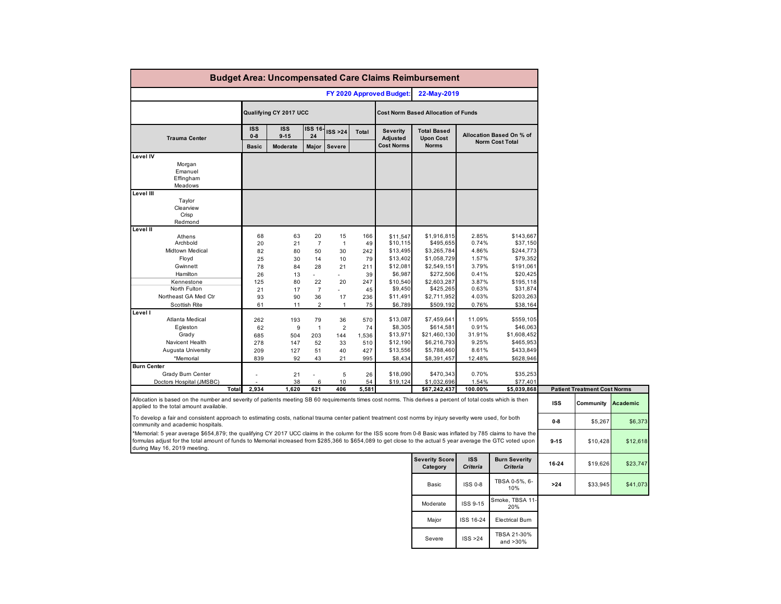| <b>Budget Area: Uncompensated Care Claims Reimbursement</b>                                                                                                                                                                                                                                                                                                  |                       |                        |                                  |                                |                        |                                                  |                                                        |                                  |                                                    |            |                                                  |          |
|--------------------------------------------------------------------------------------------------------------------------------------------------------------------------------------------------------------------------------------------------------------------------------------------------------------------------------------------------------------|-----------------------|------------------------|----------------------------------|--------------------------------|------------------------|--------------------------------------------------|--------------------------------------------------------|----------------------------------|----------------------------------------------------|------------|--------------------------------------------------|----------|
| FY 2020 Approved Budget:                                                                                                                                                                                                                                                                                                                                     |                       |                        |                                  |                                | 22-May-2019            |                                                  |                                                        |                                  |                                                    |            |                                                  |          |
|                                                                                                                                                                                                                                                                                                                                                              |                       | Qualifying CY 2017 UCC |                                  |                                |                        |                                                  | <b>Cost Norm Based Allocation of Funds</b>             |                                  |                                                    |            |                                                  |          |
| <b>Trauma Center</b>                                                                                                                                                                                                                                                                                                                                         | <b>ISS</b><br>$0 - 8$ | <b>ISS</b><br>$9 - 15$ | ISS 16<br>24                     | ISS >24                        | Total                  | <b>Severity</b><br>Adjusted<br><b>Cost Norms</b> | <b>Total Based</b><br><b>Upon Cost</b><br><b>Norms</b> |                                  | Allocation Based On % of<br><b>Norm Cost Total</b> |            |                                                  |          |
|                                                                                                                                                                                                                                                                                                                                                              | <b>Basic</b>          | Moderate               | Major                            | <b>Severe</b>                  |                        |                                                  |                                                        |                                  |                                                    |            |                                                  |          |
| Level IV<br>Morgan<br>Emanuel<br>Effingham<br>Meadows                                                                                                                                                                                                                                                                                                        |                       |                        |                                  |                                |                        |                                                  |                                                        |                                  |                                                    |            |                                                  |          |
| Level III<br>Taylor<br>Clearview<br>Crisp<br>Redmond                                                                                                                                                                                                                                                                                                         |                       |                        |                                  |                                |                        |                                                  |                                                        |                                  |                                                    |            |                                                  |          |
| Level II                                                                                                                                                                                                                                                                                                                                                     |                       |                        |                                  |                                |                        |                                                  |                                                        |                                  |                                                    |            |                                                  |          |
| Athens<br>Archbold<br>Midtown Medical<br>Floyd                                                                                                                                                                                                                                                                                                               | 68<br>20<br>82<br>25  | 63<br>21<br>80<br>30   | 20<br>$\overline{7}$<br>50<br>14 | 15<br>$\mathbf{1}$<br>30<br>10 | 166<br>49<br>242<br>79 | \$11,547<br>\$10,115<br>\$13,495<br>\$13,402     | \$1,916,815<br>\$495,655<br>\$3,265,784<br>\$1,058,729 | 2.85%<br>0.74%<br>4.86%<br>1.57% | \$143,667<br>\$37,150<br>\$244,773<br>\$79,352     |            |                                                  |          |
| Gwinnett<br>Hamilton                                                                                                                                                                                                                                                                                                                                         | 78<br>26              | 84<br>13               | 28                               | 21<br>$\mathbf{r}$             | 211<br>39              | \$12,081<br>\$6,987                              | \$2,549,151<br>\$272,506                               | 3.79%<br>0.41%                   | \$191,061<br>\$20,425                              |            |                                                  |          |
| Kennestone                                                                                                                                                                                                                                                                                                                                                   | 125                   | 80                     | 22                               | 20                             | 247                    | \$10,540                                         | \$2,603,287                                            | 3.87%                            | \$195,118                                          |            |                                                  |          |
| North Fulton                                                                                                                                                                                                                                                                                                                                                 | 21                    | 17                     | $\overline{7}$                   | ٠                              | 45                     | \$9,450                                          | \$425,265                                              | 0.63%                            | \$31,874                                           |            |                                                  |          |
| Northeast GA Med Ctr                                                                                                                                                                                                                                                                                                                                         | 93                    | 90                     | 36                               | 17                             | 236                    | \$11,491                                         | \$2,711,952                                            | 4.03%                            | \$203,263                                          |            |                                                  |          |
| Scottish Rite<br>Level I                                                                                                                                                                                                                                                                                                                                     | 61                    | 11                     | $\overline{2}$                   | $\mathbf{1}$                   | 75                     | \$6,789                                          | \$509,192                                              | 0.76%                            | \$38,164                                           |            |                                                  |          |
| Atlanta Medical                                                                                                                                                                                                                                                                                                                                              | 262                   | 193                    | 79                               | 36                             | 570                    | \$13,087                                         | \$7,459,641                                            | 11.09%                           | \$559,105                                          |            |                                                  |          |
| Egleston                                                                                                                                                                                                                                                                                                                                                     | 62                    | 9                      | $\mathbf{1}$                     | $\overline{2}$                 | 74                     | \$8,305                                          | \$614,581                                              | 0.91%                            | \$46,063                                           |            |                                                  |          |
| Grady                                                                                                                                                                                                                                                                                                                                                        | 685                   | 504                    | 203                              | 144                            | 1,536                  | \$13,971                                         | \$21,460,130                                           | 31.91%                           | \$1,608,452                                        |            |                                                  |          |
| Navicent Health<br>Augusta University                                                                                                                                                                                                                                                                                                                        | 278<br>209            | 147<br>127             | 52<br>51                         | 33<br>40                       | 510<br>427             | \$12,190<br>\$13,556                             | \$6,216,793<br>\$5,788,460                             | 9.25%<br>8.61%                   | \$465,953<br>\$433,849                             |            |                                                  |          |
| *Memorial                                                                                                                                                                                                                                                                                                                                                    | 839                   | 92                     | 43                               | 21                             | 995                    | \$8,434                                          | \$8,391,457                                            | 12.48%                           | \$628,946                                          |            |                                                  |          |
| <b>Burn Center</b>                                                                                                                                                                                                                                                                                                                                           |                       |                        |                                  |                                |                        |                                                  |                                                        |                                  |                                                    |            |                                                  |          |
| Grady Bum Center                                                                                                                                                                                                                                                                                                                                             |                       | 21                     |                                  | $\sqrt{5}$                     | 26                     | \$18,090                                         | \$470,343                                              | 0.70%                            | \$35,253                                           |            |                                                  |          |
| Doctors Hospital (JMSBC)<br>Total                                                                                                                                                                                                                                                                                                                            | 2,934                 | 38<br>1,620            | 6<br>621                         | 10<br>406                      | 54<br>5,581            | \$19,124                                         | \$1,032,696                                            | 1.54%                            | \$77,401                                           |            |                                                  |          |
| Allocation is based on the number and severity of patients meeting SB 60 requirements times cost norms. This derives a percent of total costs which is then<br>applied to the total amount available.                                                                                                                                                        |                       |                        |                                  |                                |                        |                                                  | \$67,242,437                                           | 100.00%                          | \$5,039,868                                        | <b>ISS</b> | <b>Patient Treatment Cost Norms</b><br>Community | Academic |
| To develop a fair and consistent approach to estimating costs, national trauma center patient treatment cost norms by injury severity were used, for both<br>community and academic hospitals.                                                                                                                                                               |                       |                        |                                  |                                |                        |                                                  |                                                        |                                  |                                                    | $0-8$      | \$5,267                                          | \$6,373  |
| *Memorial: 5 year average \$654,879; the qualifying CY 2017 UCC claims in the column for the ISS score from 0-8 Basic was inflated by 785 claims to have the<br>formulas adjust for the total amount of funds to Memorial increased from \$285,366 to \$654,089 to get close to the actual 5 year average the GTC voted upon<br>during May 16, 2019 meeting. |                       |                        |                                  |                                |                        |                                                  |                                                        |                                  |                                                    | $9 - 15$   | \$10,428                                         | \$12,618 |
|                                                                                                                                                                                                                                                                                                                                                              |                       |                        |                                  |                                |                        |                                                  | <b>Severity Score</b><br>Category                      | <b>ISS</b><br><b>Criteria</b>    | <b>Burn Severity</b><br><b>Criteria</b>            | 16-24      | \$19,626                                         | \$23,747 |
|                                                                                                                                                                                                                                                                                                                                                              |                       |                        |                                  |                                |                        |                                                  | Basic                                                  | ISS 0-8                          | TBSA 0-5%, 6-<br>10%                               | $>24$      | \$33,945                                         | \$41,073 |
|                                                                                                                                                                                                                                                                                                                                                              |                       |                        |                                  |                                |                        |                                                  | Moderate                                               | <b>ISS 9-15</b>                  | Smoke, TBSA 11<br>20%                              |            |                                                  |          |
|                                                                                                                                                                                                                                                                                                                                                              |                       |                        |                                  |                                |                        |                                                  | Major                                                  | ISS 16-24                        | <b>Electrical Burn</b>                             |            |                                                  |          |
|                                                                                                                                                                                                                                                                                                                                                              |                       |                        |                                  |                                |                        |                                                  | Severe                                                 | ISS > 24                         | TBSA 21-30%<br>and >30%                            |            |                                                  |          |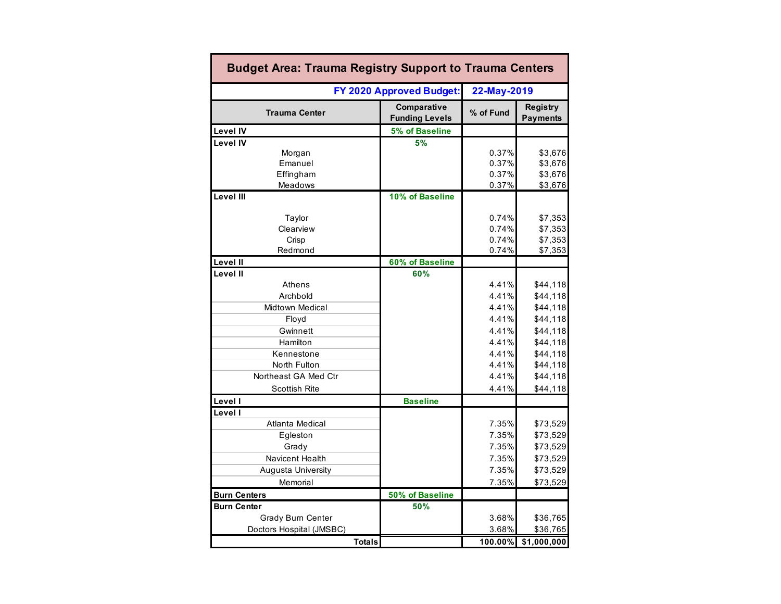| <b>Budget Area: Trauma Registry Support to Trauma Centers</b> |               |                                      |                                  |                                          |  |  |  |  |  |  |
|---------------------------------------------------------------|---------------|--------------------------------------|----------------------------------|------------------------------------------|--|--|--|--|--|--|
| FY 2020 Approved Budget:                                      | 22-May-2019   |                                      |                                  |                                          |  |  |  |  |  |  |
| <b>Trauma Center</b>                                          |               | Comparative<br><b>Funding Levels</b> | % of Fund                        | Registry<br><b>Payments</b>              |  |  |  |  |  |  |
| <b>Level IV</b>                                               |               | 5% of Baseline                       |                                  |                                          |  |  |  |  |  |  |
| Level IV<br>Morgan<br>Emanuel                                 |               | 5%                                   | 0.37%<br>0.37%                   | \$3,676<br>\$3,676                       |  |  |  |  |  |  |
| Effingham<br>Meadows                                          |               |                                      | 0.37%<br>0.37%                   | \$3,676<br>\$3,676                       |  |  |  |  |  |  |
| Level III                                                     |               | 10% of Baseline                      |                                  |                                          |  |  |  |  |  |  |
| Taylor<br>Clearview<br>Crisp<br>Redmond                       |               |                                      | 0.74%<br>0.74%<br>0.74%<br>0.74% | \$7,353<br>\$7,353<br>\$7,353<br>\$7,353 |  |  |  |  |  |  |
| Level II                                                      |               | 60% of Baseline                      |                                  |                                          |  |  |  |  |  |  |
| Level II<br>Athens<br>Archbold                                |               | 60%                                  | 4.41%<br>4.41%                   | \$44,118<br>\$44,118                     |  |  |  |  |  |  |
| <b>Midtown Medical</b><br>Floyd                               |               |                                      | 4.41%<br>4.41%                   | \$44,118<br>\$44,118                     |  |  |  |  |  |  |
| Gwinnett<br>Hamilton                                          |               |                                      | 4.41%<br>4.41%                   | \$44,118<br>\$44,118                     |  |  |  |  |  |  |
| Kennestone<br>North Fulton<br>Northeast GA Med Ctr            |               |                                      | 4.41%<br>4.41%<br>4.41%          | \$44,118<br>\$44,118<br>\$44,118         |  |  |  |  |  |  |
| <b>Scottish Rite</b>                                          |               |                                      | 4.41%                            | \$44,118                                 |  |  |  |  |  |  |
| Level I                                                       |               | <b>Baseline</b>                      |                                  |                                          |  |  |  |  |  |  |
| Level I<br>Atlanta Medical<br>Egleston<br>Grady               |               |                                      | 7.35%<br>7.35%<br>7.35%          | \$73,529<br>\$73,529<br>\$73,529         |  |  |  |  |  |  |
| Navicent Health<br>Augusta University<br>Memorial             |               |                                      | 7.35%<br>7.35%<br>7.35%          | \$73,529<br>\$73,529<br>\$73,529         |  |  |  |  |  |  |
| <b>Burn Centers</b>                                           |               | 50% of Baseline                      |                                  |                                          |  |  |  |  |  |  |
| <b>Burn Center</b>                                            |               | 50%                                  |                                  |                                          |  |  |  |  |  |  |
| Grady Burn Center<br>Doctors Hospital (JMSBC)                 |               |                                      | 3.68%<br>3.68%                   | \$36,765<br>\$36,765                     |  |  |  |  |  |  |
|                                                               | <b>Totals</b> |                                      | 100.00%                          | \$1,000,000                              |  |  |  |  |  |  |